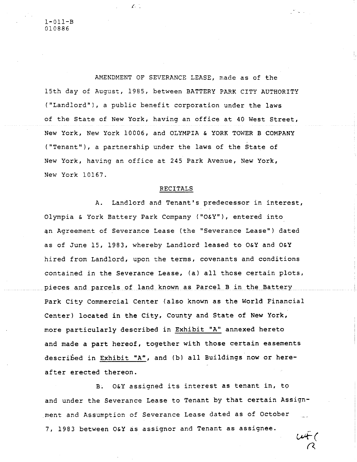AMENDMENT OF SEVERANCE LEASE, made as of the 15th day of August, 1985, between BATTERY PARK CITY AUTHORITY ("Landlord"), a public benefit corporation under the laws of the State of New York, having an office at 40 West Street, New York, New York 10006, and OLYMPIA & YORK TOWER B COMPANY ("Tenant"), a partnership under the laws of the State of New York, having an office at 245 Park Avenue, New York, New York 10167.

 $\mathcal{L}$  . The  $\mathcal{L}$ 

## RECITALS

A. Landlord and Tenant's predecessor in interest, Olympia & York Battery Park Company ("O&Y"), entered into an Agreement of Severance Lease (the "Severance Lease") dated as of June 15, 1983, whereby Landlord leased to O&Y and O&Y hired from Landlord, upon the terms, covenants and conditions contained in the Severance Lease, (a) all those certain plots, pieces and parcels of land known as Parcel B in the Battery Park City Commercial Center (also known as the World Financial Center) located in the City, County and State of New York, more particularly described in Exhibit "A" annexed hereto and made a part hereof, together with those certain easements described in Exhibit "A", and (b) all Buildings now or hereafter erected thereon.

B. O&Y assigned its interest as tenant in, to and under the Severance Lease to Tenant by that certain Assignment and Assumption of Severance Lease dated as of October 7, 1983 between O&Y as assignor and Tenant as assignee.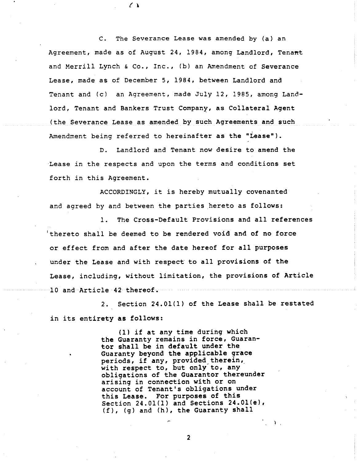C. The Severance Lease was amended by (a) an Agreement, made as of August 24, 1984, among Landlord, Tenant and Merrill Lynch & Co., Inc., (b) an Amendment of Severance Lease, made as of December 5, 1984, between Landlord and Tenant and (c) an Agreement, made July 12, 1985, among Landlord, Tenant and Bankers Trust Company, as Collateral Agent (the Severance Lease as amended by such Agreements and such Amendment being referred to hereinafter as the "Lease").

 $\mathcal{L}$ 

D. Landlord and Tenant now desire to amend the Lease in the respects and upon the terms and conditions set forth in this Agreement.

ACCORDINGLY, it is hereby mutually covenanted and agreed by and between the parties hereto as follows:

I. The Cross-Default Provisions and all references 'thereto shall be deemed to be rendered void and of no force or effect from and after the date hereof for all purposes under the Lease and with respect to all provisions of the Lease, including, without limitation, the provisions of Article 10 and Article 42 thereof.

2. Section 24.01(1) of the Lease shall be restated in its entirety as follows:

> (I) if at any time during which the Guaranty remains in force, Guarantor shall be in default under the Guaranty beyond the applicable grace periods, if any, provided therein, with respect to, but only to, any obligations of the Guarantor thereunder arising in connection with or on account of Tenant's obligations under this Lease. For purposes of this Section 24.01(1) and Sections 24.01(e), (f), (g) and (h), the Guaranty shall

> > **2**

 $\mathcal{L} \rightarrow \mathcal{L}$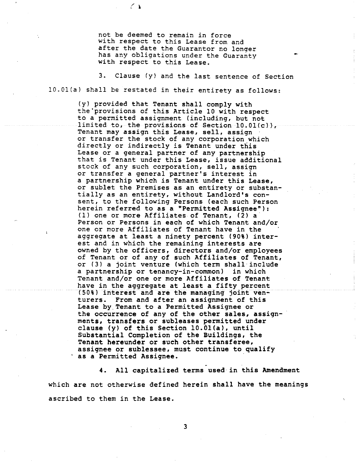not be deemed to remain in force with respect to this Lease from and after the date the Guarantor no longer has any obligations under the Guaranty with respect to this Lease.

 $\left\langle \right\rangle$ 

3. Clause (y) and the last sentence of Section 10.01(a) shall be restated in their entirety as follows:

(y) provided that Tenant shall comply with the'provisions of this Article i0 with respect to a permitted assignment (including, but not limited to, the provisions of Section 10.01(c)), Tenant may assign this Lease, sell, assign or transfer the stock of any corporation which directly or indirectly is Tenant under this Lease or a general partner of any partnership that is Tenant under this Lease, issue additional stock of any such corporation, sell, assign or transfer a general partner's interest in a partnership which is Tenant under this Lease, or sublet the Premises as an entirety or substantially as an entirety, without Landlord's consent, to the following Persons (each such Person herein referred to as a "Permitted Assignee"): (1) one or more Affiliates of Tenant,  $(2)$  a Person or Persons in each of which Tenant and/or one or more Affiliates of Tenant have in the aggregate at least a ninety percent (90%) interest and in which the remaining interests are owned by the officers, directors and/or employees of Tenant or of any of such Affiliates of Tenant, or (3) a joint venture (which term shall include a partnership or tenancy-in-common) in which Tenant and/or one or more Affiliates of Tenant have in the aggregate at least a fifty percent (50%) interest and are the managing joint venturers. From and after an assignment of this Lease by Tenant to a Permitted Assignee or the occurrence of any of the other sales, assignments, transfers or subleases permitted under clause (y) of this Section 10.01(a), until Substantial Completion of the Buildings, **the Tenant hereunder** or such **other transferee,** assignee or sublessee, must continue to qualify as a Permitted Assignee.

**4. All capitalized terms used in this Amendment** which are not otherwise defined herein shall have the meanings ascribed to them in the Lease.

3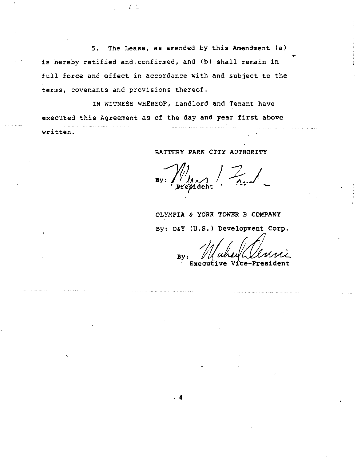5. The Lease, as amended by this Amendment (a) is hereby ratified and.confirmed, and (b) shall remain in full force and effect in accordance with and subject to the terms, covenants and provisions thereof.

 $\mathcal{L}$  .

IN WITNESS WHEREOF, Landlord and Tenant have executed this Agreement as of the day and year first above written.

BATTERY PARK CITY AUTHORITY

**OLYMPIA & YORE TOWER B COMPANY**

By: **O&Y (U.S.) Development Corp.**

By:

Vice-President